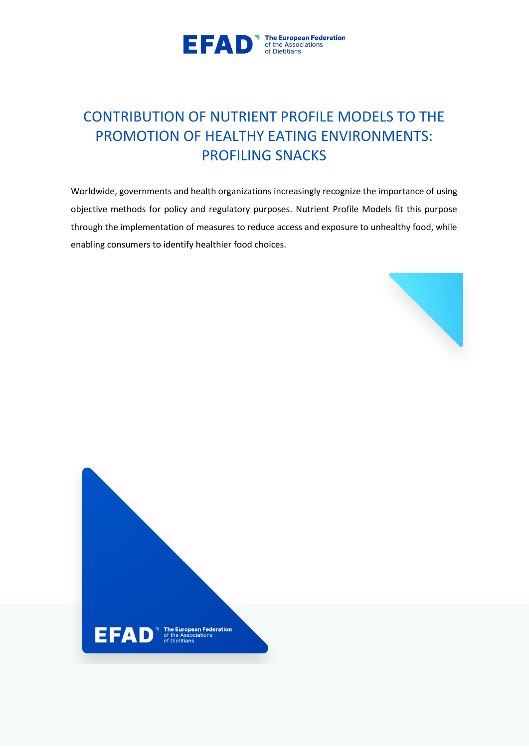

# CONTRIBUTION OF NUTRIENT PROFILE MODELS TO THE PROMOTION OF HEALTHY EATING ENVIRONMENTS: PROFILING SNACKS

Worldwide, governments and health organizations increasingly recognize the importance of using objective methods for policy and regulatory purposes. Nutrient Profile Models fit this purpose through the implementation of measures to reduce access and exposure to unhealthy food, while enabling consumers to identify healthier food choices.



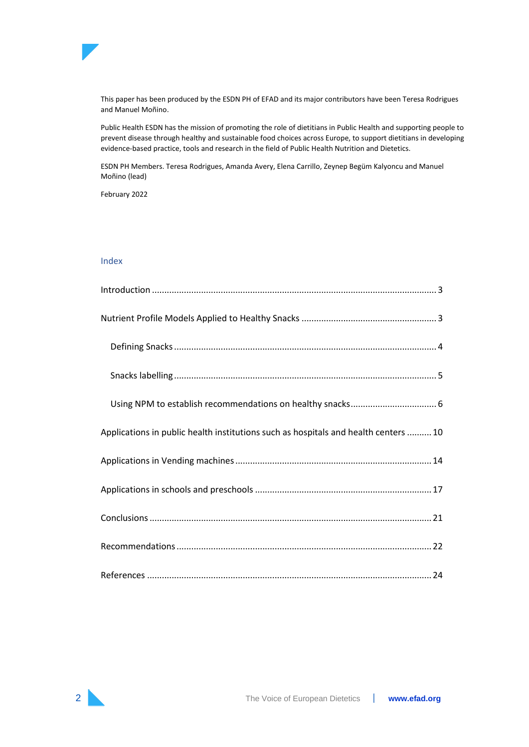

This paper has been produced by the ESDN PH of EFAD and its major contributors have been Teresa Rodrigues and Manuel Moñino.

Public Health ESDN has the mission of promoting the role of dietitians in Public Health and supporting people to prevent disease through healthy and sustainable food choices across Europe, to support dietitians in developing evidence-based practice, tools and research in the field of Public Health Nutrition and Dietetics.

ESDN PH Members. Teresa Rodrigues, Amanda Avery, Elena Carrillo, Zeynep Begüm Kalyoncu and Manuel Moñino (lead)

February 2022

### Index

| Applications in public health institutions such as hospitals and health centers  10 |
|-------------------------------------------------------------------------------------|
|                                                                                     |
|                                                                                     |
|                                                                                     |
|                                                                                     |
|                                                                                     |

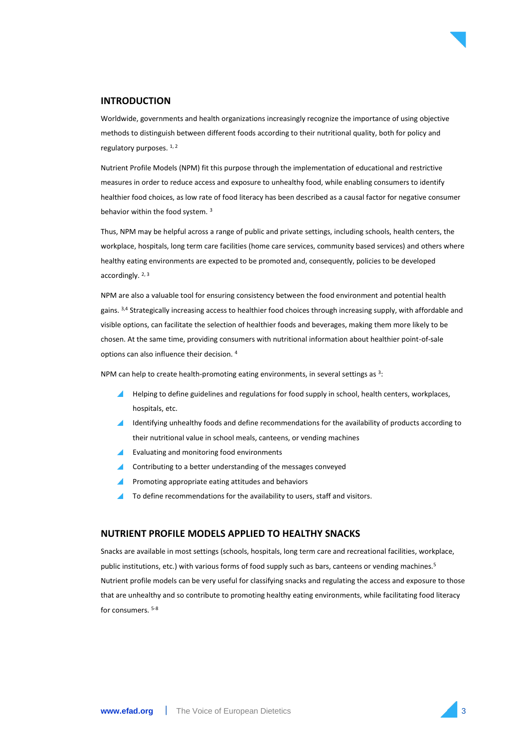

## <span id="page-2-0"></span>**INTRODUCTION**

Worldwide, governments and health organizations increasingly recognize the importance of using objective methods to distinguish between different foods according to their nutritional quality, both for policy and regulatory purposes. 1, 2

Nutrient Profile Models (NPM) fit this purpose through the implementation of educational and restrictive measures in order to reduce access and exposure to unhealthy food, while enabling consumers to identify healthier food choices, as low rate of food literacy has been described as a causal factor for negative consumer behavior within the food system. <sup>3</sup>

Thus, NPM may be helpful across a range of public and private settings, including schools, health centers, the workplace, hospitals, long term care facilities (home care services, community based services) and others where healthy eating environments are expected to be promoted and, consequently, policies to be developed accordingly. 2, 3

NPM are also a valuable tool for ensuring consistency between the food environment and potential health gains. 3,4 Strategically increasing access to healthier food choices through increasing supply, with affordable and visible options, can facilitate the selection of healthier foods and beverages, making them more likely to be chosen. At the same time, providing consumers with nutritional information about healthier point-of-sale options can also influence their decision. <sup>4</sup>

NPM can help to create health-promoting eating environments, in several settings as  $3$ :

- Helping to define guidelines and regulations for food supply in school, health centers, workplaces, hospitals, etc.
- I Identifying unhealthy foods and define recommendations for the availability of products according to their nutritional value in school meals, canteens, or vending machines
- Evaluating and monitoring food environments
- **Contributing to a better understanding of the messages conveyed**
- **Promoting appropriate eating attitudes and behaviors**
- To define recommendations for the availability to users, staff and visitors.  $\overline{\phantom{a}}$

# <span id="page-2-1"></span>**NUTRIENT PROFILE MODELS APPLIED TO HEALTHY SNACKS**

Snacks are available in most settings (schools, hospitals, long term care and recreational facilities, workplace, public institutions, etc.) with various forms of food supply such as bars, canteens or vending machines.<sup>5</sup> Nutrient profile models can be very useful for classifying snacks and regulating the access and exposure to those that are unhealthy and so contribute to promoting healthy eating environments, while facilitating food literacy for consumers. 5-8

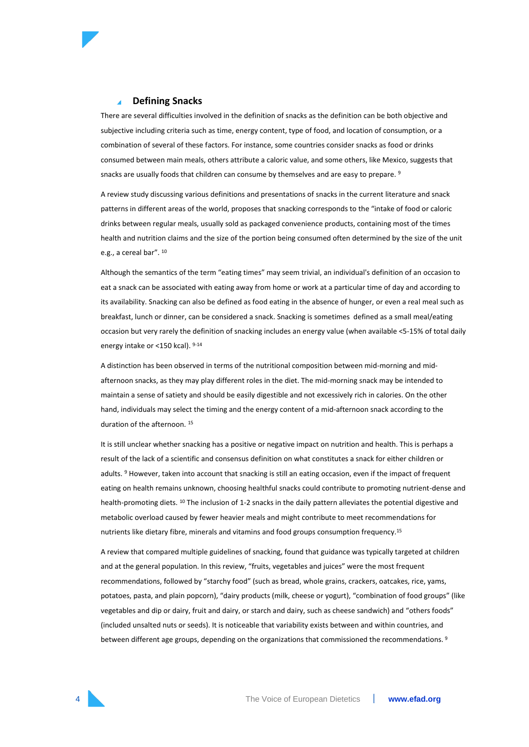<span id="page-3-0"></span>

There are several difficulties involved in the definition of snacks as the definition can be both objective and subjective including criteria such as time, energy content, type of food, and location of consumption, or a combination of several of these factors. For instance, some countries consider snacks as food or drinks consumed between main meals, others attribute a caloric value, and some others, like Mexico, suggests that snacks are usually foods that children can consume by themselves and are easy to prepare.<sup>9</sup>

A review study discussing various definitions and presentations of snacks in the current literature and snack patterns in different areas of the world, proposes that snacking corresponds to the "intake of food or caloric drinks between regular meals, usually sold as packaged convenience products, containing most of the times health and nutrition claims and the size of the portion being consumed often determined by the size of the unit e.g., a cereal bar". <sup>10</sup>

Although the semantics of the term "eating times" may seem trivial, an individual's definition of an occasion to eat a snack can be associated with eating away from home or work at a particular time of day and according to its availability. Snacking can also be defined as food eating in the absence of hunger, or even a real meal such as breakfast, lunch or dinner, can be considered a snack. Snacking is sometimes defined as a small meal/eating occasion but very rarely the definition of snacking includes an energy value (when available <5-15% of total daily energy intake or <150 kcal). 9-14

A distinction has been observed in terms of the nutritional composition between mid-morning and midafternoon snacks, as they may play different roles in the diet. The mid-morning snack may be intended to maintain a sense of satiety and should be easily digestible and not excessively rich in calories. On the other hand, individuals may select the timing and the energy content of a mid-afternoon snack according to the duration of the afternoon. <sup>15</sup>

It is still unclear whether snacking has a positive or negative impact on nutrition and health. This is perhaps a result of the lack of a scientific and consensus definition on what constitutes a snack for either children or adults. <sup>9</sup> However, taken into account that snacking is still an eating occasion, even if the impact of frequent eating on health remains unknown, choosing healthful snacks could contribute to promoting nutrient-dense and health-promoting diets. <sup>10</sup> The inclusion of 1-2 snacks in the daily pattern alleviates the potential digestive and metabolic overload caused by fewer heavier meals and might contribute to meet recommendations for nutrients like dietary fibre, minerals and vitamins and food groups consumption frequency.<sup>15</sup>

A review that compared multiple guidelines of snacking, found that guidance was typically targeted at children and at the general population. In this review, "fruits, vegetables and juices" were the most frequent recommendations, followed by "starchy food" (such as bread, whole grains, crackers, oatcakes, rice, yams, potatoes, pasta, and plain popcorn), "dairy products (milk, cheese or yogurt), "combination of food groups" (like vegetables and dip or dairy, fruit and dairy, or starch and dairy, such as cheese sandwich) and "others foods" (included unsalted nuts or seeds). It is noticeable that variability exists between and within countries, and between different age groups, depending on the organizations that commissioned the recommendations.<sup>9</sup>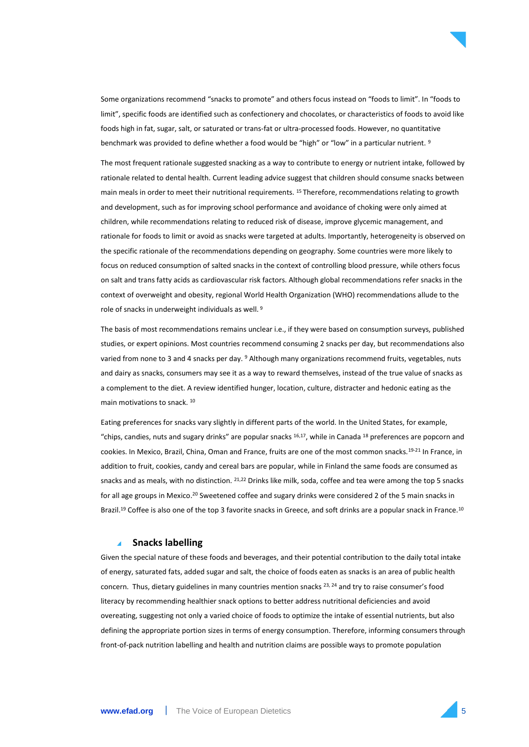

Some organizations recommend "snacks to promote" and others focus instead on "foods to limit". In "foods to limit", specific foods are identified such as confectionery and chocolates, or characteristics of foods to avoid like foods high in fat, sugar, salt, or saturated or trans-fat or ultra-processed foods. However, no quantitative benchmark was provided to define whether a food would be "high" or "low" in a particular nutrient. <sup>9</sup>

The most frequent rationale suggested snacking as a way to contribute to energy or nutrient intake, followed by rationale related to dental health. Current leading advice suggest that children should consume snacks between main meals in order to meet their nutritional requirements. <sup>15</sup> Therefore, recommendations relating to growth and development, such as for improving school performance and avoidance of choking were only aimed at children, while recommendations relating to reduced risk of disease, improve glycemic management, and rationale for foods to limit or avoid as snacks were targeted at adults. Importantly, heterogeneity is observed on the specific rationale of the recommendations depending on geography. Some countries were more likely to focus on reduced consumption of salted snacks in the context of controlling blood pressure, while others focus on salt and trans fatty acids as cardiovascular risk factors. Although global recommendations refer snacks in the context of overweight and obesity, regional World Health Organization (WHO) recommendations allude to the role of snacks in underweight individuals as well. <sup>9</sup>

The basis of most recommendations remains unclear i.e., if they were based on consumption surveys, published studies, or expert opinions. Most countries recommend consuming 2 snacks per day, but recommendations also varied from none to 3 and 4 snacks per day. <sup>9</sup> Although many organizations recommend fruits, vegetables, nuts and dairy as snacks, consumers may see it as a way to reward themselves, instead of the true value of snacks as a complement to the diet. A review identified hunger, location, culture, distracter and hedonic eating as the main motivations to snack. <sup>10</sup>

Eating preferences for snacks vary slightly in different parts of the world. In the United States, for example, "chips, candies, nuts and sugary drinks" are popular snacks  $^{16,17}$ , while in Canada  $^{18}$  preferences are popcorn and cookies. In Mexico, Brazil, China, Oman and France, fruits are one of the most common snacks.19-21 In France, in addition to fruit, cookies, candy and cereal bars are popular, while in Finland the same foods are consumed as snacks and as meals, with no distinction. <sup>21,22</sup> Drinks like milk, soda, coffee and tea were among the top 5 snacks for all age groups in Mexico.<sup>20</sup> Sweetened coffee and sugary drinks were considered 2 of the 5 main snacks in Brazil.<sup>19</sup> Coffee is also one of the top 3 favorite snacks in Greece, and soft drinks are a popular snack in France.<sup>10</sup>

#### <span id="page-4-0"></span>**Snacks labelling**  $\blacktriangle$

Given the special nature of these foods and beverages, and their potential contribution to the daily total intake of energy, saturated fats, added sugar and salt, the choice of foods eaten as snacks is an area of public health concern. Thus, dietary guidelines in many countries mention snacks <sup>23, 24</sup> and try to raise consumer's food literacy by recommending healthier snack options to better address nutritional deficiencies and avoid overeating, suggesting not only a varied choice of foods to optimize the intake of essential nutrients, but also defining the appropriate portion sizes in terms of energy consumption. Therefore, informing consumers through front-of-pack nutrition labelling and health and nutrition claims are possible ways to promote population

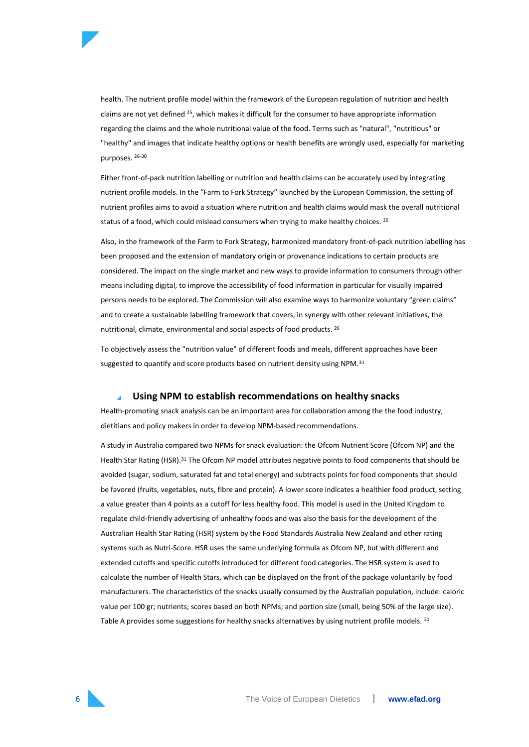

health. The nutrient profile model within the framework of the European regulation of nutrition and health claims are not vet defined <sup>25</sup>, which makes it difficult for the consumer to have appropriate information regarding the claims and the whole nutritional value of the food. Terms such as "natural", "nutritious" or "healthy" and images that indicate healthy options or health benefits are wrongly used, especially for marketing purposes. 26-30

Either front-of-pack nutrition labelling or nutrition and health claims can be accurately used by integrating nutrient profile models. In the "Farm to Fork Strategy" launched by the European Commission, the setting of nutrient profiles aims to avoid a situation where nutrition and health claims would mask the overall nutritional status of a food, which could mislead consumers when trying to make healthy choices. <sup>26</sup>

Also, in the framework of the Farm to Fork Strategy, harmonized mandatory front-of-pack nutrition labelling has been proposed and the extension of mandatory origin or provenance indications to certain products are considered. The impact on the single market and new ways to provide information to consumers through other means including digital, to improve the accessibility of food information in particular for visually impaired persons needs to be explored. The Commission will also examine ways to harmonize voluntary "green claims" and to create a sustainable labelling framework that covers, in synergy with other relevant initiatives, the nutritional, climate, environmental and social aspects of food products. <sup>26</sup>

To objectively assess the "nutrition value" of different foods and meals, different approaches have been suggested to quantify and score products based on nutrient density using NPM.<sup>31</sup>

#### <span id="page-5-0"></span>**Using NPM to establish recommendations on healthy snacks**

Health-promoting snack analysis can be an important area for collaboration among the the food industry, dietitians and policy makers in order to develop NPM-based recommendations.

A study in Australia compared two NPMs for snack evaluation: the Ofcom Nutrient Score (Ofcom NP) and the Health Star Rating (HSR).<sup>31</sup> The Ofcom NP model attributes negative points to food components that should be avoided (sugar, sodium, saturated fat and total energy) and subtracts points for food components that should be favored (fruits, vegetables, nuts, fibre and protein). A lower score indicates a healthier food product, setting a value greater than 4 points as a cutoff for less healthy food. This model is used in the United Kingdom to regulate child-friendly advertising of unhealthy foods and was also the basis for the development of the Australian Health Star Rating (HSR) system by the Food Standards Australia New Zealand and other rating systems such as Nutri-Score. HSR uses the same underlying formula as Ofcom NP, but with different and extended cutoffs and specific cutoffs introduced for different food categories. The HSR system is used to calculate the number of Health Stars, which can be displayed on the front of the package voluntarily by food manufacturers. The characteristics of the snacks usually consumed by the Australian population, include: caloric value per 100 gr; nutrients; scores based on both NPMs; and portion size (small, being 50% of the large size). Table A provides some suggestions for healthy snacks alternatives by using nutrient profile models. 31

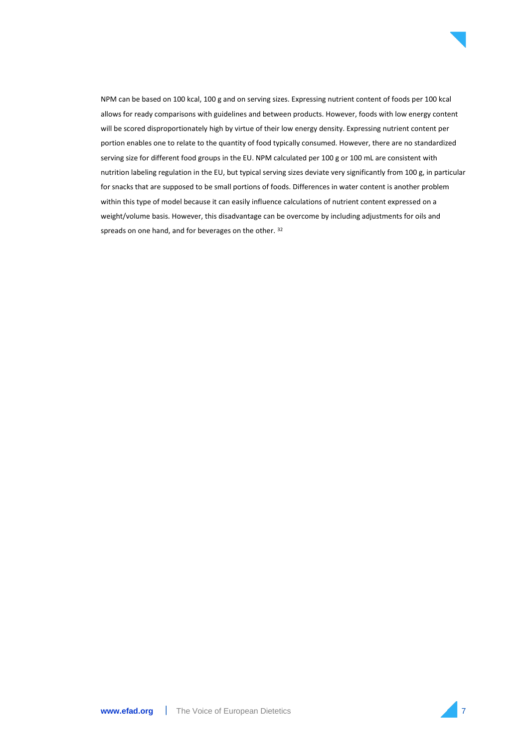

NPM can be based on 100 kcal, 100 g and on serving sizes. Expressing nutrient content of foods per 100 kcal allows for ready comparisons with guidelines and between products. However, foods with low energy content will be scored disproportionately high by virtue of their low energy density. Expressing nutrient content per portion enables one to relate to the quantity of food typically consumed. However, there are no standardized serving size for different food groups in the EU. NPM calculated per 100 g or 100 mL are consistent with nutrition labeling regulation in the EU, but typical serving sizes deviate very significantly from 100 g, in particular for snacks that are supposed to be small portions of foods. Differences in water content is another problem within this type of model because it can easily influence calculations of nutrient content expressed on a weight/volume basis. However, this disadvantage can be overcome by including adjustments for oils and spreads on one hand, and for beverages on the other. 32

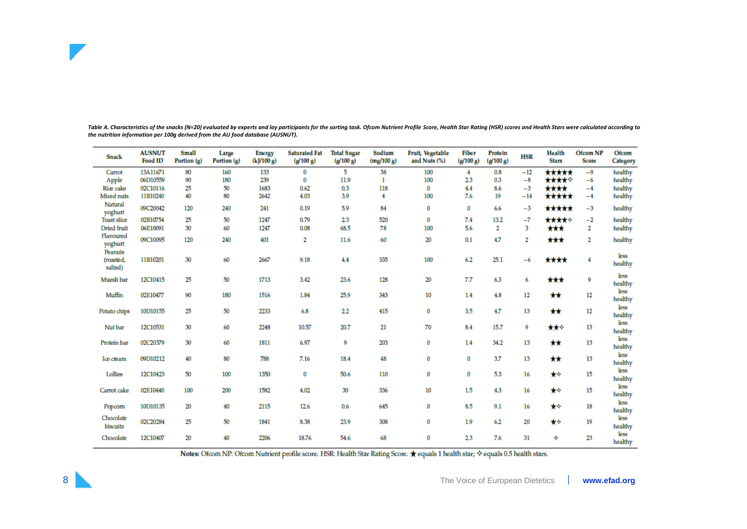| Snack                           | <b>AUSNUT</b><br>Food ID | <b>Small</b><br>Portion (g) | Large<br>Portion (g) | <b>Energy</b><br>(kJ/100 g) | <b>Saturated Fat</b><br>(g/100 g) | <b>Total Sugar</b><br>(g/100 g) | Sodium<br>(mg/100 g) | Fruit, Vegetable<br>and Nuts $(\%)$ | <b>Fiber</b><br>(g/100 g) | <b>Protein</b><br>(g/100 g) | HSR   | Health<br><b>Stars</b> | <b>Ofcom NP</b><br>Score | Ofcom<br>Category |
|---------------------------------|--------------------------|-----------------------------|----------------------|-----------------------------|-----------------------------------|---------------------------------|----------------------|-------------------------------------|---------------------------|-----------------------------|-------|------------------------|--------------------------|-------------------|
| Carrot                          | 13A11671                 | 80                          | 160                  | 133                         | 0                                 | 5                               | 38                   | 100                                 | 4                         | 0.8                         | $-12$ | *****                  | $-9$                     | healthy           |
| Apple                           | 06D10559                 | 90                          | 180                  | 239                         | 0                                 | 11.9                            | 1                    | 100                                 | 2.3                       | 0.3                         | $-8$  | *****                  | $-6$                     | healthy           |
| Rice cake                       | 02C10116                 | 25                          | 50                   | 1683                        | 0.62                              | 0.3                             | 118                  | 0                                   | 4.4                       | 8.6                         | $-3$  | ****                   | $-4$                     | healthy           |
| Mixed nuts                      | 11B10240                 | 40                          | 80                   | 2642                        | 4.03                              | 3.9                             | 4                    | 100                                 | 7.6                       | 19                          | $-14$ | *****                  | $-4$                     | healthy           |
| Natural<br>yoghurt              | 09C20042                 | 120                         | 240                  | 241                         | 0.19                              | 5.9                             | 84                   | 0                                   | $\bf{0}$                  | 6.6                         | $-3$  | *****                  | $-3$                     | healthy           |
| <b>Toast slice</b>              | 02B10754                 | 25                          | 50                   | 1247                        | 0.79                              | 23                              | 520                  | 0                                   | 7.4                       | 13.2                        | $-7$  | *****                  | $^{-2}$                  | healthy           |
| <b>Dried</b> fruit              | 06E10091                 | 30                          | 60                   | 1247                        | 0.08                              | 68.5                            | 78                   | 100                                 | 5.6                       | $\overline{2}$              | 3     | ***                    | 2                        | healthy           |
| Flavoured<br>yoghurt            | 09C10095                 | 120                         | 240                  | 401                         | 2                                 | 11.6                            | 60                   | 20                                  | 0.1                       | 4.7                         | 2     | ***                    | 2                        | healthy           |
| Peanuts<br>(roasted,<br>salted) | 11B10201                 | 30                          | 60                   | 2667                        | 9.18                              | 4.4                             | 335                  | 100                                 | 6.2                       | 25.1                        | $-6$  | ****                   | 4                        | less<br>healthy   |
| Muesli bar                      | 12C10415                 | 25                          | 50                   | 1713                        | 3.42                              | 23.6                            | 128                  | 20                                  | 7.7                       | 6.3                         | 6     | ***                    | 9                        | less<br>healthy   |
| Muffin                          | 02E10477                 | 90                          | 180                  | 1516                        | 1.84                              | 25.9                            | 343                  | 10                                  | 1.4                       | 4.8                         | 12    | $\star\star$           | 12                       | less<br>healthy   |
| Potato chips                    | 10D10155                 | 25                          | 50                   | 2233                        | 6.8                               | 22                              | 415                  | 0                                   | 3.5                       | 4.7                         | 13    | $\star\star$           | 12                       | less<br>healthy   |
| Nut bar                         | 12C10531                 | 30                          | 60                   | 2248                        | 10.57                             | 20.7                            | 21                   | 70                                  | 8.4                       | 15.7                        | 9     | ***                    | 13                       | less<br>healthy   |
| Protein bar                     | 02C20379                 | 30                          | 60                   | 1811                        | 6.97                              | 9                               | 203                  | 0                                   | 1.4                       | 34.2                        | 13    | $\star\star$           | 13                       | less<br>healthy   |
| Ice cream                       | 09D10212                 | 40                          | 80                   | 788                         | 7.16                              | 18.4                            | 48                   | 0                                   | $\bf{0}$                  | 3.7                         | 13    | $\star\star$           | 13                       | less<br>healthy   |
| Lollies                         | 12C10423                 | 50                          | 100                  | 1350                        | 0                                 | 50.6                            | 110                  | 0                                   | $\bf{0}$                  | 5.3                         | 16    | ∗∗                     | 15                       | less<br>healthy   |
| Carrot cake                     | 02E10440                 | 100                         | 200                  | 1582                        | 4.02                              | 30                              | 336                  | 10                                  | 1.5                       | 4.3                         | 16    | ∗∗                     | 15                       | less<br>healthy   |
| Popcom                          | 10D10135                 | 20                          | 40                   | 2115                        | 12.6                              | 0.6                             | 645                  | 0                                   | 8.5                       | 9.1                         | 16    | ╈ᡧ                     | 18                       | less<br>healthy   |
| Chocolate<br>biscuits           | 02C20284                 | 25                          | 50                   | 1841                        | 8.38                              | 23.9                            | 308                  | 0                                   | 1.9                       | 6.2                         | 20    | ╈♦                     | 19                       | less<br>healthy   |
| Chocolate                       | 12C10407                 | 20                          | 40                   | 2206                        | 18.76                             | 54.6                            | 68                   | 0                                   | 2.3                       | 7.6                         | 31    | ❖                      | 23                       | less<br>healthy   |

Table A. Characteristics of the snacks (N=20) evaluated by experts and lay participants for the sorting task. Ofcom Nutrient Profile Score, Health Star Rating (HSR) scores and Health Stars were calculated according to *the nutrition information per 100g derived from the AU food database (AUSNUT).*

Notes: Ofcom NP: Ofcom Nutrient profile score. HSR: Health Star Rating Score.  $\bigstar$  equals 1 health star;  $\diamond$  equals 0.5 health stars.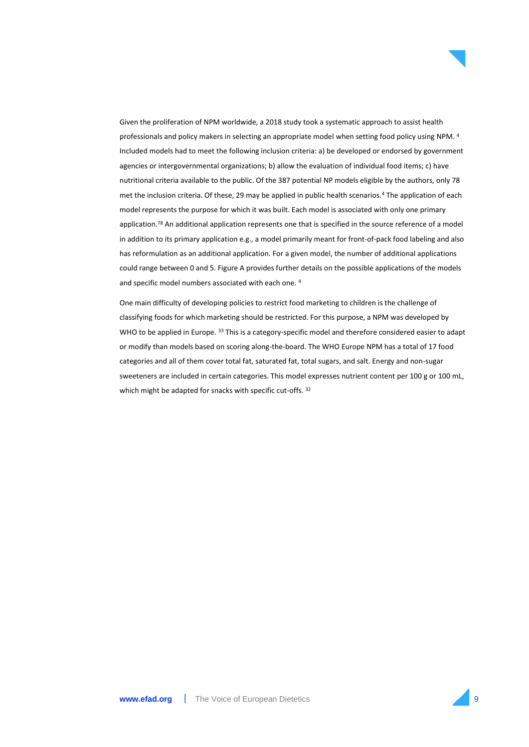

Given the proliferation of NPM worldwide, a 2018 study took a systematic approach to assist health professionals and policy makers in selecting an appropriate model when setting food policy using NPM. 4 Included models had to meet the following inclusion criteria: a) be developed or endorsed by government agencies or intergovernmental organizations; b) allow the evaluation of individual food items; c) have nutritional criteria available to the public. Of the 387 potential NP models eligible by the authors, only 78 met the inclusion criteria. Of these, 29 may be applied in public health scenarios.<sup>4</sup> The application of each model represents the purpose for which it was built. Each model is associated with only one primary application.<sup>78</sup> An additional application represents one that is specified in the source reference of a model in addition to its primary application e.g., a model primarily meant for front-of-pack food labeling and also has reformulation as an additional application. For a given model, the number of additional applications could range between 0 and 5. Figure A provides further details on the possible applications of the models and specific model numbers associated with each one. <sup>4</sup>

One main difficulty of developing policies to restrict food marketing to children is the challenge of classifying foods for which marketing should be restricted. For this purpose, a NPM was developed by WHO to be applied in Europe. 33 This is a category-specific model and therefore considered easier to adapt or modify than models based on scoring along-the-board. The WHO Europe NPM has a total of 17 food categories and all of them cover total fat, saturated fat, total sugars, and salt. Energy and non-sugar sweeteners are included in certain categories. This model expresses nutrient content per 100 g or 100 mL, which might be adapted for snacks with specific cut-offs. 32

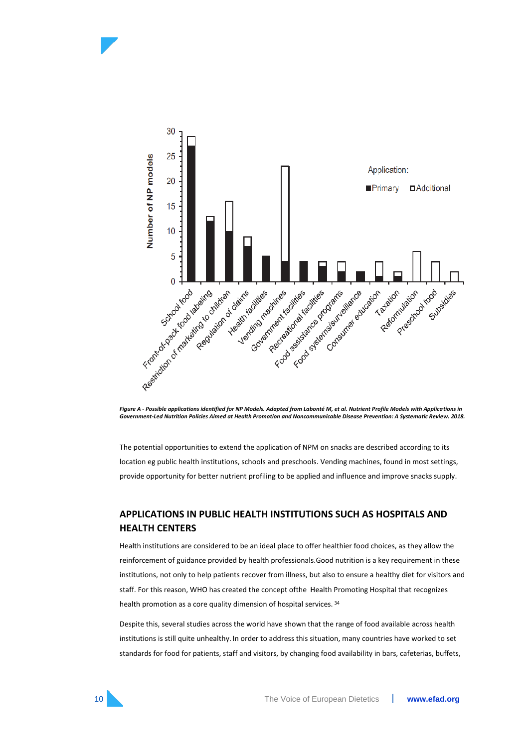



*Figure A - Possible applications identified for NP Models. Adapted from Labonté M, et al. Nutrient Profile Models with Applications in Government-Led Nutrition Policies Aimed at Health Promotion and Noncommunicable Disease Prevention: A Systematic Review. 2018.*

The potential opportunities to extend the application of NPM on snacks are described according to its location eg public health institutions, schools and preschools. Vending machines, found in most settings, provide opportunity for better nutrient profiling to be applied and influence and improve snacks supply.

# <span id="page-9-0"></span>**APPLICATIONS IN PUBLIC HEALTH INSTITUTIONS SUCH AS HOSPITALS AND HEALTH CENTERS**

Health institutions are considered to be an ideal place to offer healthier food choices, as they allow the reinforcement of guidance provided by health professionals.Good nutrition is a key requirement in these institutions, not only to help patients recover from illness, but also to ensure a healthy diet for visitors and staff. For this reason, WHO has created the concept ofthe Health Promoting Hospital that recognizes health promotion as a core quality dimension of hospital services. <sup>34</sup>

Despite this, several studies across the world have shown that the range of food available across health institutions is still quite unhealthy. In order to address this situation, many countries have worked to set standards for food for patients, staff and visitors, by changing food availability in bars, cafeterias, buffets,

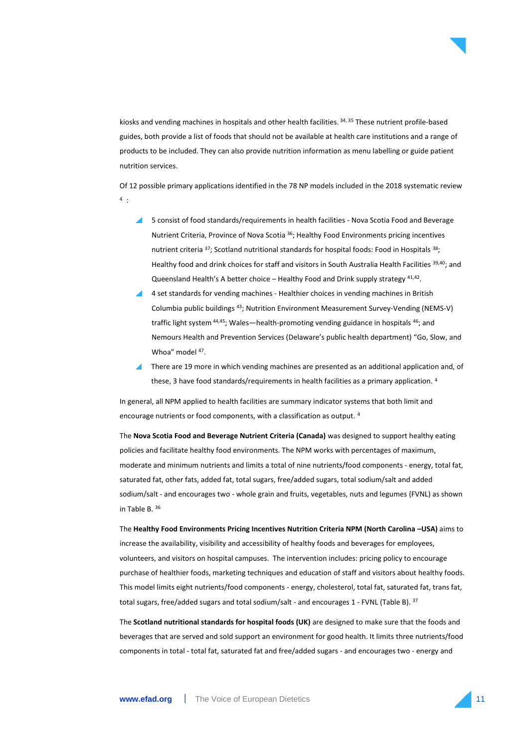

kiosks and vending machines in hospitals and other health facilities. 34, 35 These nutrient profile-based guides, both provide a list of foods that should not be available at health care institutions and a range of products to be included. They can also provide nutrition information as menu labelling or guide patient nutrition services.

Of 12 possible primary applications identified in the 78 NP models included in the 2018 systematic review 4 :

- 5 consist of food standards/requirements in health facilities Nova Scotia Food and Beverage Nutrient Criteria, Province of Nova Scotia <sup>36</sup>; Healthy Food Environments pricing incentives nutrient criteria <sup>37</sup>; Scotland nutritional standards for hospital foods: Food in Hospitals <sup>38</sup>; Healthy food and drink choices for staff and visitors in South Australia Health Facilities 39,40; and Queensland Health's A better choice - Healthy Food and Drink supply strategy <sup>41,42</sup>.
- 4 set standards for vending machines Healthier choices in vending machines in British Columbia public buildings <sup>43</sup>; Nutrition Environment Measurement Survey-Vending (NEMS-V) traffic light system 44,45; Wales—health-promoting vending guidance in hospitals 46; and Nemours Health and Prevention Services (Delaware's public health department) "Go, Slow, and Whoa" model <sup>47</sup>.
- There are 19 more in which vending machines are presented as an additional application and, of these, 3 have food standards/requirements in health facilities as a primary application. <sup>4</sup>

In general, all NPM applied to health facilities are summary indicator systems that both limit and encourage nutrients or food components, with a classification as output. <sup>4</sup>

The **Nova Scotia Food and Beverage Nutrient Criteria (Canada)** was designed to support healthy eating policies and facilitate healthy food environments. The NPM works with percentages of maximum, moderate and minimum nutrients and limits a total of nine nutrients/food components - energy, total fat, saturated fat, other fats, added fat, total sugars, free/added sugars, total sodium/salt and added sodium/salt - and encourages two - whole grain and fruits, vegetables, nuts and legumes (FVNL) as shown in Table B. <sup>36</sup>

The **Healthy Food Environments Pricing Incentives Nutrition Criteria NPM (North Carolina –USA)** aims to increase the availability, visibility and accessibility of healthy foods and beverages for employees, volunteers, and visitors on hospital campuses. The intervention includes: pricing policy to encourage purchase of healthier foods, marketing techniques and education of staff and visitors about healthy foods. This model limits eight nutrients/food components - energy, cholesterol, total fat, saturated fat, trans fat, total sugars, free/added sugars and total sodium/salt - and encourages 1 - FVNL (Table B). <sup>37</sup>

The **Scotland nutritional standards for hospital foods (UK)** are designed to make sure that the foods and beverages that are served and sold support an environment for good health. It limits three nutrients/food components in total - total fat, saturated fat and free/added sugars - and encourages two - energy and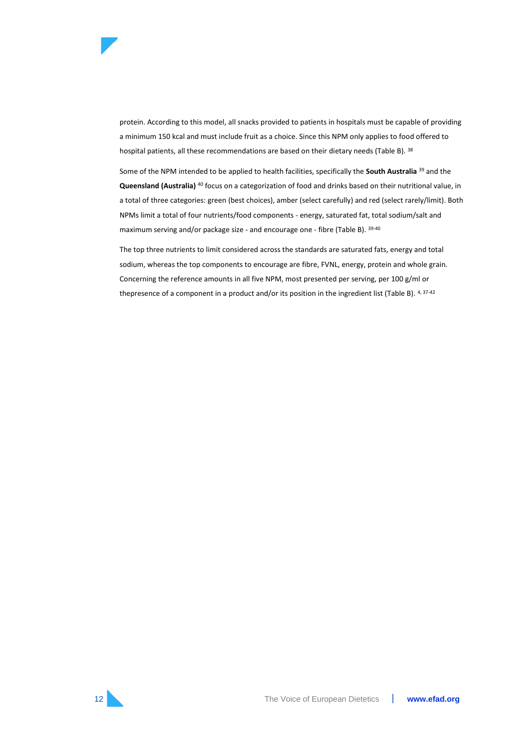

protein. According to this model, all snacks provided to patients in hospitals must be capable of providing a minimum 150 kcal and must include fruit as a choice. Since this NPM only applies to food offered to hospital patients, all these recommendations are based on their dietary needs (Table B). 38

Some of the NPM intended to be applied to health facilities, specifically the **South Australia** <sup>39</sup> and the **Queensland (Australia)** <sup>40</sup> focus on a categorization of food and drinks based on their nutritional value, in a total of three categories: green (best choices), amber (select carefully) and red (select rarely/limit). Both NPMs limit a total of four nutrients/food components - energy, saturated fat, total sodium/salt and maximum serving and/or package size - and encourage one - fibre (Table B). 39-40

The top three nutrients to limit considered across the standards are saturated fats, energy and total sodium, whereas the top components to encourage are fibre, FVNL, energy, protein and whole grain. Concerning the reference amounts in all five NPM, most presented per serving, per 100 g/ml or thepresence of a component in a product and/or its position in the ingredient list (Table B). 4, 37-42

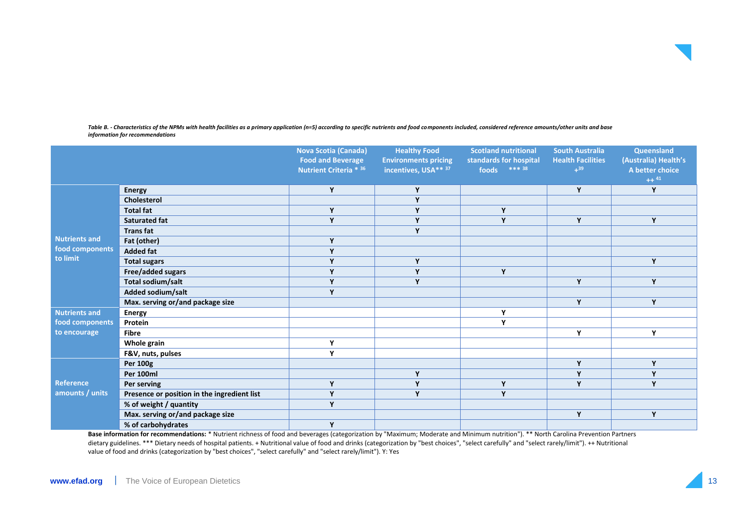*Table B. - Characteristics of the NPMs with health facilities as a primary application (n=5) according to specific nutrients and food components included, considered reference amounts/other units and base information for recommendations*

|                                     |                                             | <b>Nova Scotia (Canada)</b><br><b>Food and Beverage</b><br><b>Nutrient Criteria</b> * 36 | <b>Healthy Food</b><br><b>Environments pricing</b><br>incentives, USA** 37 | <b>Scotland nutritional</b><br>standards for hospital<br>*** 38<br>foods | <b>South Australia</b><br><b>Health Facilities</b><br>$+39$ | Queensland<br>(Australia) Health's<br>A better choice<br>$++$ <sup>41</sup> |
|-------------------------------------|---------------------------------------------|------------------------------------------------------------------------------------------|----------------------------------------------------------------------------|--------------------------------------------------------------------------|-------------------------------------------------------------|-----------------------------------------------------------------------------|
|                                     | <b>Energy</b>                               | Y                                                                                        | Y                                                                          |                                                                          | Y                                                           | Y                                                                           |
|                                     | <b>Cholesterol</b>                          |                                                                                          | Y                                                                          |                                                                          |                                                             |                                                                             |
|                                     | <b>Total fat</b>                            | Y                                                                                        | Υ                                                                          | Y                                                                        |                                                             |                                                                             |
|                                     | <b>Saturated fat</b>                        | Y                                                                                        | Y                                                                          | Y                                                                        | Y                                                           | Y                                                                           |
|                                     | <b>Transfat</b>                             |                                                                                          | Y                                                                          |                                                                          |                                                             |                                                                             |
| <b>Nutrients and</b>                | Fat (other)                                 | Y                                                                                        |                                                                            |                                                                          |                                                             |                                                                             |
| food components                     | <b>Added fat</b>                            | Y                                                                                        |                                                                            |                                                                          |                                                             |                                                                             |
| to limit                            | <b>Total sugars</b>                         | Y                                                                                        | Y                                                                          |                                                                          |                                                             | Y                                                                           |
|                                     | Free/added sugars                           | Y                                                                                        | Y                                                                          | Y                                                                        |                                                             |                                                                             |
|                                     | Total sodium/salt                           | Y                                                                                        | Y                                                                          |                                                                          | Y                                                           | Y                                                                           |
|                                     | Added sodium/salt                           | Y                                                                                        |                                                                            |                                                                          |                                                             |                                                                             |
|                                     | Max. serving or/and package size            |                                                                                          |                                                                            |                                                                          | Y                                                           | Y                                                                           |
| <b>Nutrients and</b>                | <b>Energy</b>                               |                                                                                          |                                                                            | Y                                                                        |                                                             |                                                                             |
| food components                     | Protein                                     |                                                                                          |                                                                            | Υ                                                                        |                                                             |                                                                             |
| to encourage                        | <b>Fibre</b>                                |                                                                                          |                                                                            |                                                                          | Y                                                           | Y                                                                           |
|                                     | Whole grain                                 | Y                                                                                        |                                                                            |                                                                          |                                                             |                                                                             |
|                                     | F&V, nuts, pulses                           | Y                                                                                        |                                                                            |                                                                          |                                                             |                                                                             |
| <b>Reference</b><br>amounts / units | <b>Per 100g</b>                             |                                                                                          |                                                                            |                                                                          | Y                                                           | Y                                                                           |
|                                     | Per 100ml                                   |                                                                                          | Y                                                                          |                                                                          | Y                                                           | Y                                                                           |
|                                     | Per serving                                 | Y                                                                                        | Υ                                                                          | Y                                                                        | Y                                                           | Y                                                                           |
|                                     | Presence or position in the ingredient list | Υ                                                                                        | Y                                                                          | Y                                                                        |                                                             |                                                                             |
|                                     | % of weight / quantity                      | Y                                                                                        |                                                                            |                                                                          |                                                             |                                                                             |
|                                     | Max. serving or/and package size            |                                                                                          |                                                                            |                                                                          | Y                                                           | Y                                                                           |
|                                     | % of carbohydrates                          | Y                                                                                        |                                                                            |                                                                          |                                                             |                                                                             |

**Base information for recommendations:** \* Nutrient richness of food and beverages (categorization by "Maximum; Moderate and Minimum nutrition"). \*\* North Carolina Prevention Partners dietary guidelines. \*\*\* Dietary needs of hospital patients. + Nutritional value of food and drinks (categorization by "best choices", "select carefully" and "select rarely/limit"). ++ Nutritional value of food and drinks (categorization by "best choices", "select carefully" and "select rarely/limit"). Y: Yes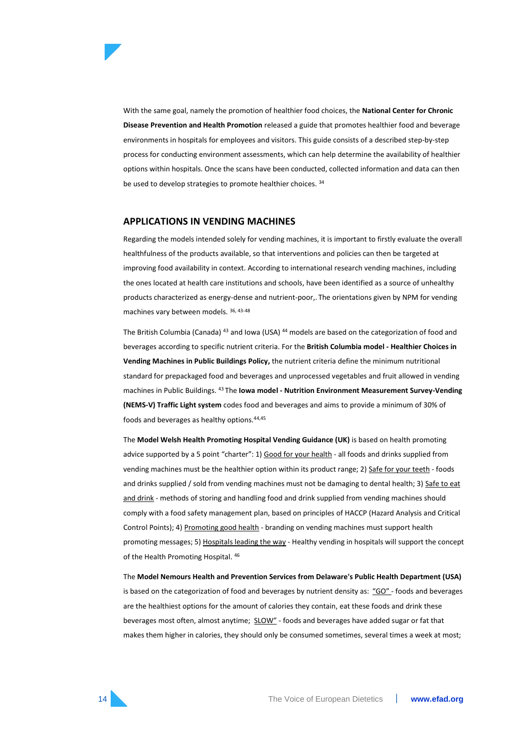

With the same goal, namely the promotion of healthier food choices, the **National Center for Chronic Disease Prevention and Health Promotion** released a guide that promotes healthier food and beverage environments in hospitals for employees and visitors. This guide consists of a described step-by-step process for conducting environment assessments, which can help determine the availability of healthier options within hospitals. Once the scans have been conducted, collected information and data can then be used to develop strategies to promote healthier choices. <sup>34</sup>

#### <span id="page-13-0"></span>**APPLICATIONS IN VENDING MACHINES**

Regarding the models intended solely for vending machines, it is important to firstly evaluate the overall healthfulness of the products available, so that interventions and policies can then be targeted at improving food availability in context. According to international research vending machines, including the ones located at health care institutions and schools, have been identified as a source of unhealthy products characterized as energy-dense and nutrient-poor,. The orientations given by NPM for vending machines vary between models. 36, 43-48

The British Columbia (Canada) <sup>43</sup> and Iowa (USA) <sup>44</sup> models are based on the categorization of food and beverages according to specific nutrient criteria. For the **British Columbia model - Healthier Choices in Vending Machines in Public Buildings Policy,** the nutrient criteria define the minimum nutritional standard for prepackaged food and beverages and unprocessed vegetables and fruit allowed in vending machines in Public Buildings. <sup>43</sup>The **Iowa model - Nutrition Environment Measurement Survey-Vending (NEMS-V) Traffic Light system** codes food and beverages and aims to provide a minimum of 30% of foods and beverages as healthy options.44,45

The **Model Welsh Health Promoting Hospital Vending Guidance (UK)** is based on health promoting advice supported by a 5 point "charter": 1) Good for your health - all foods and drinks supplied from vending machines must be the healthier option within its product range; 2) Safe for your teeth - foods and drinks supplied / sold from vending machines must not be damaging to dental health; 3) Safe to eat and drink - methods of storing and handling food and drink supplied from vending machines should comply with a food safety management plan, based on principles of HACCP (Hazard Analysis and Critical Control Points); 4) Promoting good health - branding on vending machines must support health promoting messages; 5) Hospitals leading the way - Healthy vending in hospitals will support the concept of the Health Promoting Hospital. <sup>46</sup>

The **Model Nemours Health and Prevention Services from Delaware's Public Health Department (USA)** is based on the categorization of food and beverages by nutrient density as:  $"GO"$  - foods and beverages are the healthiest options for the amount of calories they contain, eat these foods and drink these beverages most often, almost anytime; SLOW" - foods and beverages have added sugar or fat that makes them higher in calories, they should only be consumed sometimes, several times a week at most;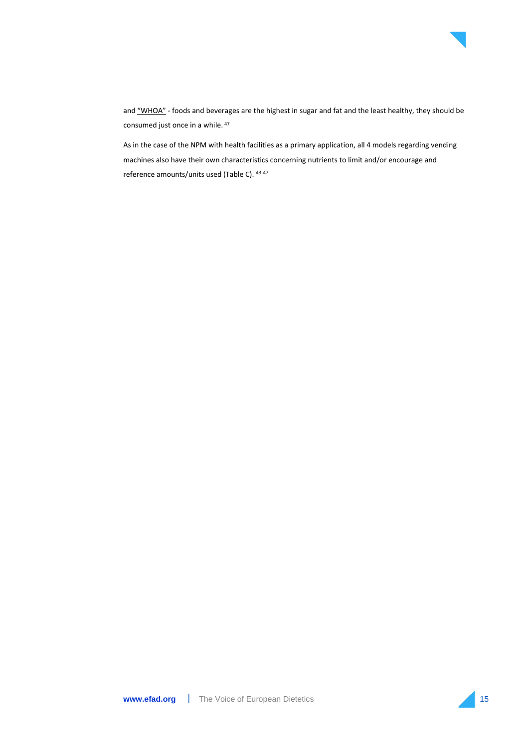

and "WHOA" - foods and beverages are the highest in sugar and fat and the least healthy, they should be consumed just once in a while. <sup>47</sup>

As in the case of the NPM with health facilities as a primary application, all 4 models regarding vending machines also have their own characteristics concerning nutrients to limit and/or encourage and reference amounts/units used (Table C). 43-47

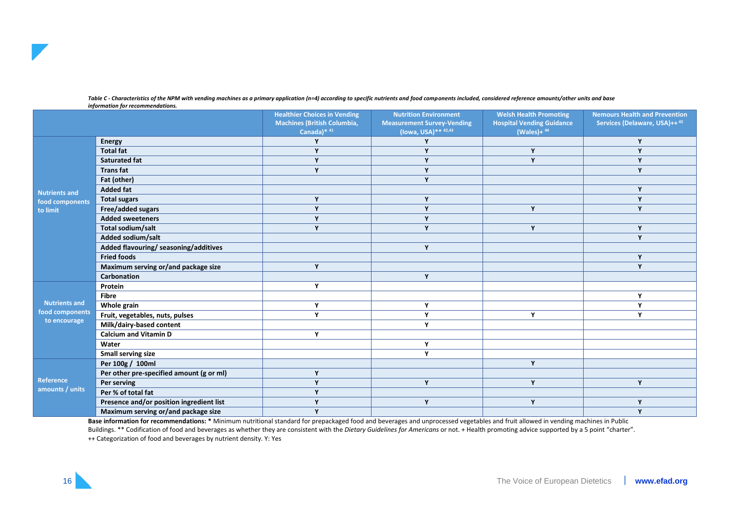

Table C - Characteristics of the NPM with vending machines as a primary application (n=4) according to specific nutrients and food components included, considered reference amounts/other units and base *information for recommendations.*

|                              |                                          | <b>Healthier Choices in Vending</b> | <b>Nutrition Environment</b>      | <b>Welsh Health Promoting</b>    | <b>Nemours Health and Prevention</b> |
|------------------------------|------------------------------------------|-------------------------------------|-----------------------------------|----------------------------------|--------------------------------------|
|                              |                                          | <b>Machines (British Columbia,</b>  | <b>Measurement Survey-Vending</b> | <b>Hospital Vending Guidance</b> | Services (Delaware, USA)++45         |
|                              |                                          | Canada) $*$ <sup>41</sup>           | $(Iowa, USA)** 42,43$             | (Wales) + $44$                   |                                      |
|                              | <b>Energy</b>                            |                                     | Y                                 |                                  | Y                                    |
|                              | <b>Total fat</b>                         | $\mathbf{v}$                        | Y                                 | Y                                | Y                                    |
|                              | <b>Saturated fat</b>                     | $\mathbf v$                         | Y                                 | Y                                | Y                                    |
|                              | <b>Transfat</b>                          | $\mathbf{v}$                        | Y                                 |                                  | Y                                    |
|                              | Fat (other)                              |                                     | Y                                 |                                  |                                      |
| <b>Nutrients and</b>         | <b>Added fat</b>                         |                                     |                                   |                                  | Y                                    |
| food components              | <b>Total sugars</b>                      | $\mathbf{v}$                        | Y                                 |                                  | Y                                    |
| to limit                     | Free/added sugars                        | Y                                   | Y                                 | Y                                | Y                                    |
|                              | <b>Added sweeteners</b>                  | $\mathbf{v}$                        | Y                                 |                                  |                                      |
|                              | Total sodium/salt                        | $\mathbf{v}$                        | Y                                 | $\mathbf{v}$                     | Y                                    |
|                              | Added sodium/salt                        |                                     |                                   |                                  | Y                                    |
|                              | Added flavouring/ seasoning/additives    |                                     | Y                                 |                                  |                                      |
|                              | <b>Fried foods</b>                       |                                     |                                   |                                  | Y                                    |
|                              | Maximum serving or/and package size      | Y                                   |                                   |                                  | Y                                    |
|                              | Carbonation                              |                                     | Y                                 |                                  |                                      |
|                              | Protein                                  | Y                                   |                                   |                                  |                                      |
|                              | <b>Fibre</b>                             |                                     |                                   |                                  | Υ                                    |
| <b>Nutrients and</b>         | Whole grain                              | $\mathbf v$                         | Y                                 |                                  | Y                                    |
| food components              | Fruit, vegetables, nuts, pulses          | Y                                   | Y                                 | Υ                                | Y                                    |
| to encourage                 | Milk/dairy-based content                 |                                     | Y                                 |                                  |                                      |
|                              | <b>Calcium and Vitamin D</b>             | $\mathbf v$                         |                                   |                                  |                                      |
|                              | Water                                    |                                     | Y                                 |                                  |                                      |
|                              | <b>Small serving size</b>                |                                     | Y                                 |                                  |                                      |
| Reference<br>amounts / units | Per 100g / 100ml                         |                                     |                                   | Y                                |                                      |
|                              | Per other pre-specified amount (g or ml) | Y                                   |                                   |                                  |                                      |
|                              | Per serving                              | $\mathbf{v}$                        | Y                                 | Y                                | Y                                    |
|                              | Per % of total fat                       | $\mathbf{v}$                        |                                   |                                  |                                      |
|                              | Presence and/or position ingredient list | v                                   | Y                                 | Y                                | Y                                    |
|                              | Maximum serving or/and package size      | Y                                   |                                   |                                  | Y                                    |

**Base information for recommendations: \*** Minimum nutritional standard for prepackaged food and beverages and unprocessed vegetables and fruit allowed in vending machines in Public Buildings. \*\* Codification of food and beverages as whether they are consistent with the *Dietary Guidelines for Americans* or not. + Health promoting advice supported by a 5 point "charter". ++ Categorization of food and beverages by nutrient density. Y: Yes

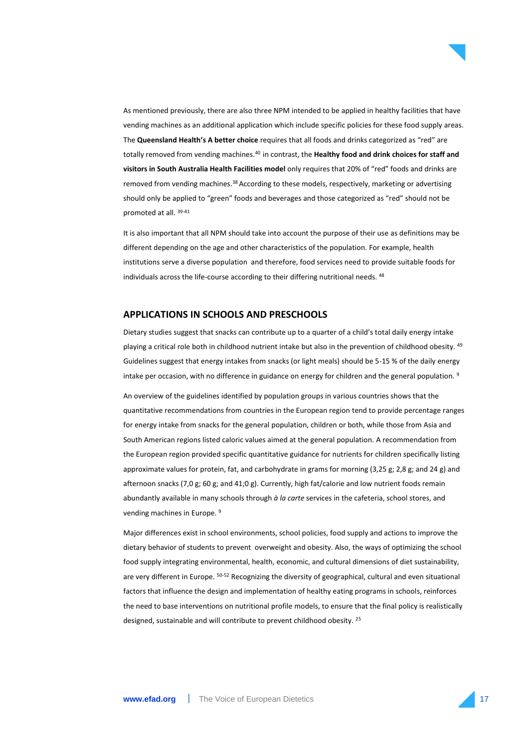

As mentioned previously, there are also three NPM intended to be applied in healthy facilities that have vending machines as an additional application which include specific policies for these food supply areas. The **Queensland Health's A better choice** requires that all foods and drinks categorized as "red" are totally removed from vending machines.<sup>40</sup> in contrast, the **Healthy food and drink choices for staff and visitors in South Australia Health Facilities model** only requires that 20% of "red" foods and drinks are removed from vending machines.<sup>38</sup> According to these models, respectively, marketing or advertising should only be applied to "green" foods and beverages and those categorized as "red" should not be promoted at all. 39-41

It is also important that all NPM should take into account the purpose of their use as definitions may be different depending on the age and other characteristics of the population. For example, health institutions serve a diverse population and therefore, food services need to provide suitable foods for individuals across the life-course according to their differing nutritional needs. <sup>48</sup>

# <span id="page-16-0"></span>**APPLICATIONS IN SCHOOLS AND PRESCHOOLS**

Dietary studies suggest that snacks can contribute up to a quarter of a child's total daily energy intake playing a critical role both in childhood nutrient intake but also in the prevention of childhood obesity. <sup>49</sup> Guidelines suggest that energy intakes from snacks (or light meals) should be 5-15 % of the daily energy intake per occasion, with no difference in guidance on energy for children and the general population. <sup>9</sup>

An overview of the guidelines identified by population groups in various countries shows that the quantitative recommendations from countries in the European region tend to provide percentage ranges for energy intake from snacks for the general population, children or both, while those from Asia and South American regions listed caloric values aimed at the general population. A recommendation from the European region provided specific quantitative guidance for nutrients for children specifically listing approximate values for protein, fat, and carbohydrate in grams for morning (3,25 g; 2,8 g; and 24 g) and afternoon snacks (7,0 g; 60 g; and 41;0 g). Currently, high fat/calorie and low nutrient foods remain abundantly available in many schools through *à la carte* services in the cafeteria, school stores, and vending machines in Europe. <sup>9</sup>

Major differences exist in school environments, school policies, food supply and actions to improve the dietary behavior of students to prevent overweight and obesity. Also, the ways of optimizing the school food supply integrating environmental, health, economic, and cultural dimensions of diet sustainability, are very different in Europe. 50-52 Recognizing the diversity of geographical, cultural and even situational factors that influence the design and implementation of healthy eating programs in schools, reinforces the need to base interventions on nutritional profile models, to ensure that the final policy is realistically designed, sustainable and will contribute to prevent childhood obesity. 25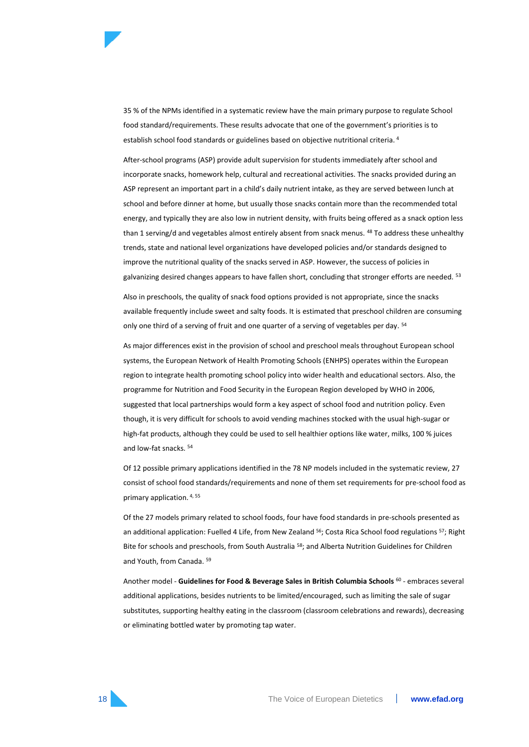

After-school programs (ASP) provide adult supervision for students immediately after school and incorporate snacks, homework help, cultural and recreational activities. The snacks provided during an ASP represent an important part in a child's daily nutrient intake, as they are served between lunch at school and before dinner at home, but usually those snacks contain more than the recommended total energy, and typically they are also low in nutrient density, with fruits being offered as a snack option less than 1 serving/d and vegetables almost entirely absent from snack menus. <sup>48</sup> To address these unhealthy trends, state and national level organizations have developed policies and/or standards designed to improve the nutritional quality of the snacks served in ASP. However, the success of policies in galvanizing desired changes appears to have fallen short, concluding that stronger efforts are needed. <sup>53</sup>

Also in preschools, the quality of snack food options provided is not appropriate, since the snacks available frequently include sweet and salty foods. It is estimated that preschool children are consuming only one third of a serving of fruit and one quarter of a serving of vegetables per day. <sup>54</sup>

As major differences exist in the provision of school and preschool meals throughout European school systems, the European Network of Health Promoting Schools (ENHPS) operates within the European region to integrate health promoting school policy into wider health and educational sectors. Also, the programme for Nutrition and Food Security in the European Region developed by WHO in 2006, suggested that local partnerships would form a key aspect of school food and nutrition policy. Even though, it is very difficult for schools to avoid vending machines stocked with the usual high-sugar or high-fat products, although they could be used to sell healthier options like water, milks, 100 % juices and low-fat snacks. <sup>54</sup>

Of 12 possible primary applications identified in the 78 NP models included in the systematic review, 27 consist of school food standards/requirements and none of them set requirements for pre-school food as primary application. 4, 55

Of the 27 models primary related to school foods, four have food standards in pre-schools presented as an additional application: Fuelled 4 Life, from New Zealand <sup>56</sup>; Costa Rica School food regulations <sup>57</sup>; Right Bite for schools and preschools, from South Australia <sup>58</sup>; and Alberta Nutrition Guidelines for Children and Youth, from Canada. <sup>59</sup>

Another model - **Guidelines for Food & Beverage Sales in British Columbia Schools** <sup>60</sup> - embraces several additional applications, besides nutrients to be limited/encouraged, such as limiting the sale of sugar substitutes, supporting healthy eating in the classroom (classroom celebrations and rewards), decreasing or eliminating bottled water by promoting tap water.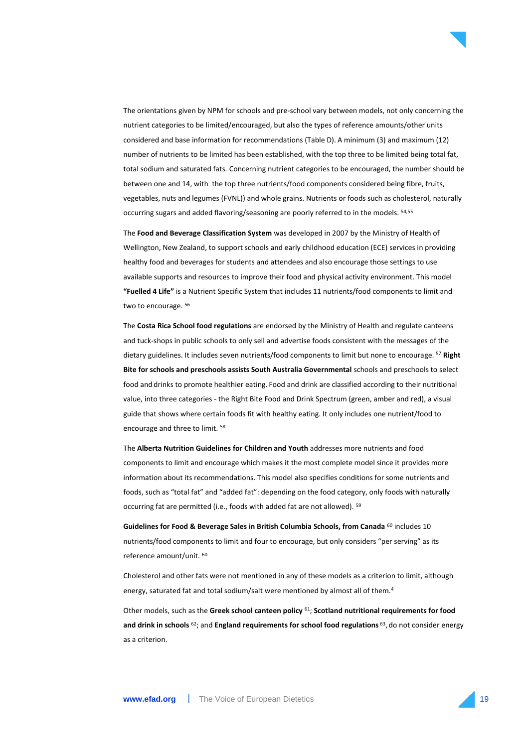

The orientations given by NPM for schools and pre-school vary between models, not only concerning the nutrient categories to be limited/encouraged, but also the types of reference amounts/other units considered and base information for recommendations (Table D). A minimum (3) and maximum (12) number of nutrients to be limited has been established, with the top three to be limited being total fat, total sodium and saturated fats. Concerning nutrient categories to be encouraged, the number should be between one and 14, with the top three nutrients/food components considered being fibre, fruits, vegetables, nuts and legumes (FVNL)) and whole grains. Nutrients or foods such as cholesterol, naturally occurring sugars and added flavoring/seasoning are poorly referred to in the models. 54,55

The **Food and Beverage Classification System** was developed in 2007 by the Ministry of Health of Wellington, New Zealand, to support schools and early childhood education (ECE) services in providing healthy food and beverages for students and attendees and also encourage those settings to use available supports and resources to improve their food and physical activity environment. This model **"Fuelled 4 Life"** is a Nutrient Specific System that includes 11 nutrients/food components to limit and two to encourage. 56

The **Costa Rica School food regulations** are endorsed by the Ministry of Health and regulate canteens and tuck-shops in public schools to only sell and advertise foods consistent with the messages of the dietary guidelines. It includes seven nutrients/food components to limit but none to encourage. <sup>57</sup> **Right Bite for schools and preschools assists South Australia Governmental** schools and preschools to select food and drinks to promote healthier eating. Food and drink are classified according to their nutritional value, into three categories - the Right Bite Food and Drink Spectrum (green, amber and red), a visual guide that shows where certain foods fit with healthy eating. It only includes one nutrient/food to encourage and three to limit. <sup>58</sup>

The **Alberta Nutrition Guidelines for Children and Youth** addresses more nutrients and food components to limit and encourage which makes it the most complete model since it provides more information about its recommendations. This model also specifies conditions for some nutrients and foods, such as "total fat" and "added fat": depending on the food category, only foods with naturally occurring fat are permitted (i.e., foods with added fat are not allowed). <sup>59</sup>

Guidelines for Food & Beverage Sales in British Columbia Schools, from Canada<sup>60</sup> includes 10 nutrients/food components to limit and four to encourage, but only considers "per serving" as its reference amount/unit. <sup>60</sup>

Cholesterol and other fats were not mentioned in any of these models as a criterion to limit, although energy, saturated fat and total sodium/salt were mentioned by almost all of them.<sup>4</sup>

Other models, such as the **Greek school canteen policy** <sup>61</sup>; **Scotland nutritional requirements for food and drink in schools** <sup>62</sup>; and **England requirements for school food regulations** <sup>63</sup> , do not consider energy as a criterion.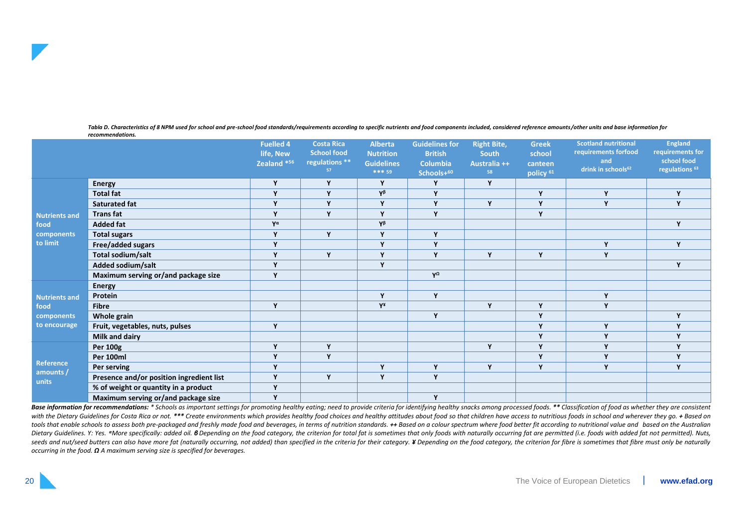

Tabla D. Characteristics of 8 NPM used for school and pre-school food standards/requirements according to specific nutrients and food components included, considered reference amounts/other units and base information for *recommendations.*

|                                |                                          | <b>Fuelled 4</b><br>life, New<br>Zealand *56 | <b>Costa Rica</b><br><b>School food</b><br>regulations **<br>57 | <b>Alberta</b><br><b>Nutrition</b><br><b>Guidelines</b><br>*** 59 | <b>Guidelines for</b><br><b>British</b><br><b>Columbia</b><br>Schools+60 | <b>Right Bite,</b><br><b>South</b><br>Australia ++<br>58 | <b>Greek</b><br>school<br>canteen<br>policy <sup>61</sup> | <b>Scotland nutritional</b><br>requirements forfood<br>and<br>drink in schools <sup>62</sup> | <b>England</b><br>requirements for<br>school food<br>regulations <sup>63</sup> |
|--------------------------------|------------------------------------------|----------------------------------------------|-----------------------------------------------------------------|-------------------------------------------------------------------|--------------------------------------------------------------------------|----------------------------------------------------------|-----------------------------------------------------------|----------------------------------------------------------------------------------------------|--------------------------------------------------------------------------------|
|                                | <b>Energy</b>                            | Y                                            | Y                                                               | Y                                                                 | Υ                                                                        | Y                                                        |                                                           |                                                                                              |                                                                                |
| <b>Nutrients and</b>           | <b>Total fat</b>                         | Y                                            | Y                                                               | $\mathsf{Y}^{\beta}$                                              | Y                                                                        |                                                          | Y                                                         | Y                                                                                            | Y                                                                              |
|                                | Saturated fat                            | $\mathbf{v}$                                 | Y                                                               | Y                                                                 | Y                                                                        | Y                                                        | Y                                                         | Y                                                                                            | Y                                                                              |
|                                | <b>Transfat</b>                          | Y                                            | Y                                                               | Y                                                                 | Y                                                                        |                                                          | Y                                                         |                                                                                              |                                                                                |
| food                           | <b>Added fat</b>                         | $Y^{\alpha}$                                 |                                                                 | $Y^{\beta}$                                                       |                                                                          |                                                          |                                                           |                                                                                              | Y                                                                              |
| components                     | <b>Total sugars</b>                      | Y                                            | Y                                                               | Y                                                                 | Y                                                                        |                                                          |                                                           |                                                                                              |                                                                                |
| to limit                       | Free/added sugars                        | $\mathbf{v}$                                 |                                                                 | Y                                                                 | Y                                                                        |                                                          |                                                           | Y                                                                                            | Y                                                                              |
|                                | Total sodium/salt                        | $\mathbf{v}$                                 | Y                                                               | Y                                                                 | Y                                                                        | Y                                                        | Y                                                         | Y                                                                                            |                                                                                |
|                                | Added sodium/salt                        | Y                                            |                                                                 | Y                                                                 |                                                                          |                                                          |                                                           |                                                                                              | Y                                                                              |
|                                | Maximum serving or/and package size      | Y                                            |                                                                 |                                                                   | $\mathbf{Y}^\Omega$                                                      |                                                          |                                                           |                                                                                              |                                                                                |
|                                | <b>Energy</b>                            |                                              |                                                                 |                                                                   |                                                                          |                                                          |                                                           |                                                                                              |                                                                                |
| <b>Nutrients and</b>           | Protein                                  |                                              |                                                                 | Y                                                                 | Y                                                                        |                                                          |                                                           | Y                                                                                            |                                                                                |
| food                           | <b>Fibre</b>                             | Y                                            |                                                                 | $Y^*$                                                             |                                                                          | Y                                                        | Y                                                         | Y                                                                                            |                                                                                |
| components                     | Whole grain                              |                                              |                                                                 |                                                                   | Y                                                                        |                                                          | Y                                                         |                                                                                              | Y                                                                              |
| to encourage                   | Fruit, vegetables, nuts, pulses          | Y                                            |                                                                 |                                                                   |                                                                          |                                                          | Y                                                         | Y                                                                                            | Y                                                                              |
|                                | <b>Milk and dairy</b>                    |                                              |                                                                 |                                                                   |                                                                          |                                                          | Y                                                         | Y                                                                                            | Y                                                                              |
| Reference<br>amounts/<br>units | <b>Per 100g</b>                          | $\mathbf{Y}$                                 | Y                                                               |                                                                   |                                                                          | Y                                                        | Y                                                         | Y                                                                                            | Υ                                                                              |
|                                | Per 100ml                                | Y                                            | Y                                                               |                                                                   |                                                                          |                                                          | Y                                                         | Y                                                                                            | Y                                                                              |
|                                | Per serving                              | Y                                            |                                                                 | Y                                                                 | Υ                                                                        | Y                                                        | Y                                                         | Y                                                                                            | Y                                                                              |
|                                | Presence and/or position ingredient list | $\mathbf{v}$                                 | Y                                                               | Y                                                                 | Y                                                                        |                                                          |                                                           |                                                                                              |                                                                                |
|                                | % of weight or quantity in a product     | $\mathbf{v}$                                 |                                                                 |                                                                   |                                                                          |                                                          |                                                           |                                                                                              |                                                                                |
|                                | Maximum serving or/and package size      | v                                            |                                                                 |                                                                   | Υ                                                                        |                                                          |                                                           |                                                                                              |                                                                                |

Base information for recommendations: \* Schools as important settings for promoting healthy eating; need to provide criteria for identifying healthy snacks among processed foods. \*\* Classification of food as whether they a with the Dietary Guidelines for Costa Rica or not. \*\*\* Create environments which provides healthy food choices and healthy attitudes about food so that children have access to nutritious foods in school and wherever they a tools that enable schools to assess both pre-packaged and freshly made food and beverages, in terms of nutrition standards. ++ Based on a colour spectrum where food better fit according to nutritional value and based on th Dietary Guidelines. Y: Yes. "More specifically: added oil. 8 Depending on the food category, the criterion for total fat is sometimes that only foods with naturally occurring fat are permitted (i.e. foods with added fat no seeds and nut/seed butters can also have more fat (naturally occurrina, not added) than specified in the criteria for their category. ¥ Dependina on the food category, the criterion for fibre is sometimes that fibre must o *occurring in the food. Ω A maximum serving size is specified for beverages.*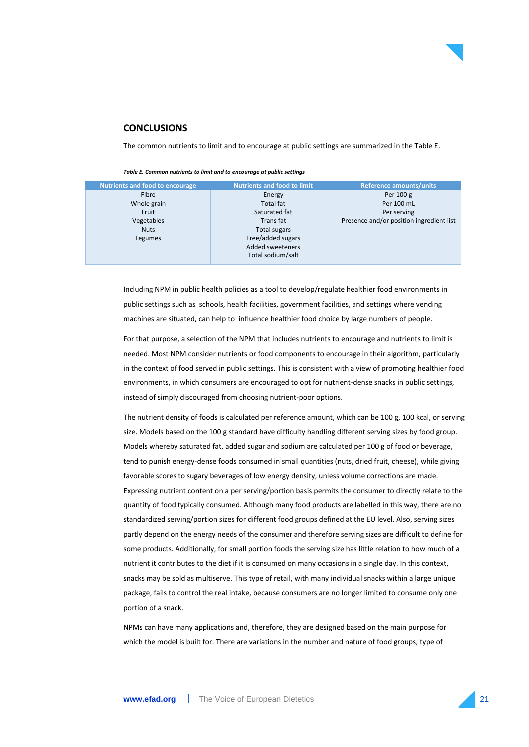<span id="page-20-0"></span>

The common nutrients to limit and to encourage at public settings are summarized in the Table E.

*Table E. Common nutrients to limit and to encourage at public settings*

| <b>Nutrients and food to encourage</b> | <b>Nutrients and food to limit</b> | Reference amounts/units                  |
|----------------------------------------|------------------------------------|------------------------------------------|
| Fibre                                  | Energy                             | Per 100 g                                |
| Whole grain                            | <b>Total fat</b>                   | Per 100 mL                               |
| Fruit                                  | Saturated fat                      | Per serving                              |
| Vegetables                             | Trans fat                          | Presence and/or position ingredient list |
| <b>Nuts</b>                            | Total sugars                       |                                          |
| Legumes                                | Free/added sugars                  |                                          |
|                                        | Added sweeteners                   |                                          |
|                                        | Total sodium/salt                  |                                          |

Including NPM in public health policies as a tool to develop/regulate healthier food environments in public settings such as schools, health facilities, government facilities, and settings where vending machines are situated, can help to influence healthier food choice by large numbers of people.

For that purpose, a selection of the NPM that includes nutrients to encourage and nutrients to limit is needed. Most NPM consider nutrients or food components to encourage in their algorithm, particularly in the context of food served in public settings. This is consistent with a view of promoting healthier food environments, in which consumers are encouraged to opt for nutrient-dense snacks in public settings, instead of simply discouraged from choosing nutrient-poor options.

The nutrient density of foods is calculated per reference amount, which can be 100 g, 100 kcal, or serving size. Models based on the 100 g standard have difficulty handling different serving sizes by food group. Models whereby saturated fat, added sugar and sodium are calculated per 100 g of food or beverage, tend to punish energy-dense foods consumed in small quantities (nuts, dried fruit, cheese), while giving favorable scores to sugary beverages of low energy density, unless volume corrections are made. Expressing nutrient content on a per serving/portion basis permits the consumer to directly relate to the quantity of food typically consumed. Although many food products are labelled in this way, there are no standardized serving/portion sizes for different food groups defined at the EU level. Also, serving sizes partly depend on the energy needs of the consumer and therefore serving sizes are difficult to define for some products. Additionally, for small portion foods the serving size has little relation to how much of a nutrient it contributes to the diet if it is consumed on many occasions in a single day. In this context, snacks may be sold as multiserve. This type of retail, with many individual snacks within a large unique package, fails to control the real intake, because consumers are no longer limited to consume only one portion of a snack.

NPMs can have many applications and, therefore, they are designed based on the main purpose for which the model is built for. There are variations in the number and nature of food groups, type of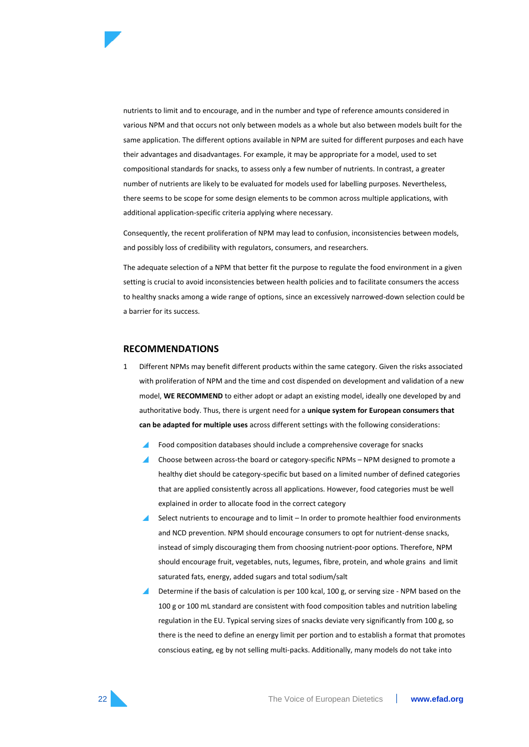

Consequently, the recent proliferation of NPM may lead to confusion, inconsistencies between models, and possibly loss of credibility with regulators, consumers, and researchers.

The adequate selection of a NPM that better fit the purpose to regulate the food environment in a given setting is crucial to avoid inconsistencies between health policies and to facilitate consumers the access to healthy snacks among a wide range of options, since an excessively narrowed-down selection could be a barrier for its success.

#### <span id="page-21-0"></span>**RECOMMENDATIONS**

- 1 Different NPMs may benefit different products within the same category. Given the risks associated with proliferation of NPM and the time and cost dispended on development and validation of a new model, **WE RECOMMEND** to either adopt or adapt an existing model, ideally one developed by and authoritative body. Thus, there is urgent need for a **unique system for European consumers that can be adapted for multiple uses** across different settings with the following considerations:
	- Food composition databases should include a comprehensive coverage for snacks
	- Choose between across-the board or category-specific NPMs NPM designed to promote a healthy diet should be category-specific but based on a limited number of defined categories that are applied consistently across all applications. However, food categories must be well explained in order to allocate food in the correct category
	- Select nutrients to encourage and to limit In order to promote healthier food environments and NCD prevention. NPM should encourage consumers to opt for nutrient-dense snacks, instead of simply discouraging them from choosing nutrient-poor options. Therefore, NPM should encourage fruit, vegetables, nuts, legumes, fibre, protein, and whole grains and limit saturated fats, energy, added sugars and total sodium/salt
	- Determine if the basis of calculation is per 100 kcal, 100 g, or serving size NPM based on the 100 g or 100 mL standard are consistent with food composition tables and nutrition labeling regulation in the EU. Typical serving sizes of snacks deviate very significantly from 100 g, so there is the need to define an energy limit per portion and to establish a format that promotes conscious eating, eg by not selling multi-packs. Additionally, many models do not take into

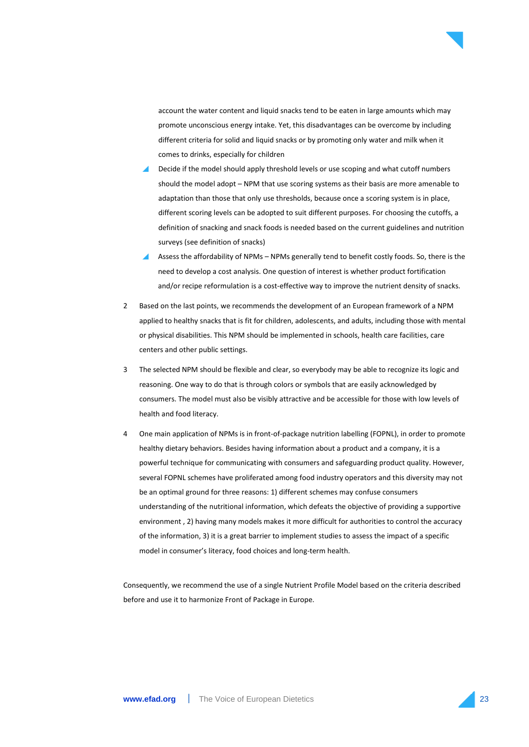

account the water content and liquid snacks tend to be eaten in large amounts which may promote unconscious energy intake. Yet, this disadvantages can be overcome by including different criteria for solid and liquid snacks or by promoting only water and milk when it comes to drinks, especially for children

- Decide if the model should apply threshold levels or use scoping and what cutoff numbers should the model adopt – NPM that use scoring systems as their basis are more amenable to adaptation than those that only use thresholds, because once a scoring system is in place, different scoring levels can be adopted to suit different purposes. For choosing the cutoffs, a definition of snacking and snack foods is needed based on the current guidelines and nutrition surveys (see definition of snacks)
- Assess the affordability of NPMs NPMs generally tend to benefit costly foods. So, there is the need to develop a cost analysis. One question of interest is whether product fortification and/or recipe reformulation is a cost-effective way to improve the nutrient density of snacks.
- 2 Based on the last points, we recommends the development of an European framework of a NPM applied to healthy snacks that is fit for children, adolescents, and adults, including those with mental or physical disabilities. This NPM should be implemented in schools, health care facilities, care centers and other public settings.
- 3 The selected NPM should be flexible and clear, so everybody may be able to recognize its logic and reasoning. One way to do that is through colors or symbols that are easily acknowledged by consumers. The model must also be visibly attractive and be accessible for those with low levels of health and food literacy.
- 4 One main application of NPMs is in front-of-package nutrition labelling (FOPNL), in order to promote healthy dietary behaviors. Besides having information about a product and a company, it is a powerful technique for communicating with consumers and safeguarding product quality. However, several FOPNL schemes have proliferated among food industry operators and this diversity may not be an optimal ground for three reasons: 1) different schemes may confuse consumers understanding of the nutritional information, which defeats the objective of providing a supportive environment , 2) having many models makes it more difficult for authorities to control the accuracy of the information, 3) it is a great barrier to implement studies to assess the impact of a specific model in consumer's literacy, food choices and long-term health.

Consequently, we recommend the use of a single Nutrient Profile Model based on the criteria described before and use it to harmonize Front of Package in Europe.

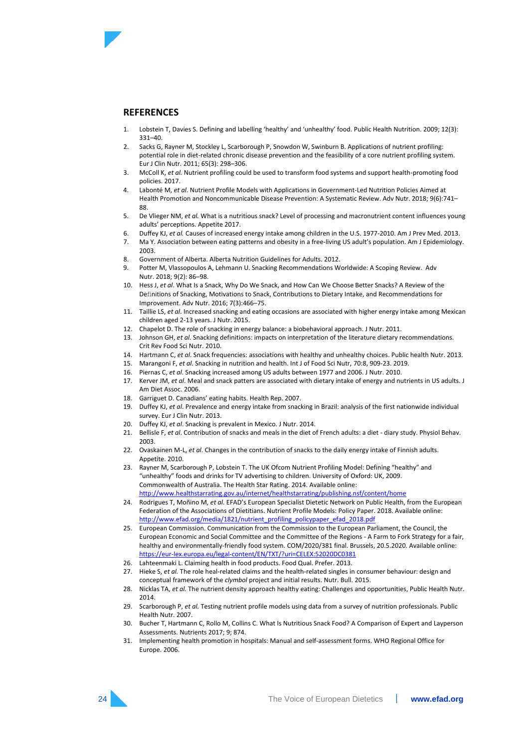<span id="page-23-0"></span>

- 1. Lobstein T, Davies S. Defining and labelling 'healthy' and 'unhealthy' food. Public Health Nutrition. 2009; 12(3): 331–40.
- 2. Sacks G, Rayner M, Stockley L, Scarborough P, Snowdon W, Swinburn B. Applications of nutrient profiling: potential role in diet-related chronic disease prevention and the feasibility of a core nutrient profiling system. Eur J Clin Nutr. 2011; 65(3): 298–306.
- 3. McColl K, *et al.* Nutrient profiling could be used to transform food systems and support health-promoting food policies. 2017.
- 4. Labonté M, *et al*. Nutrient Profile Models with Applications in Government-Led Nutrition Policies Aimed at Health Promotion and Noncommunicable Disease Prevention: A Systematic Review. Adv Nutr. 2018; 9(6):741– 88.
- 5. De Vlieger NM, *et al.* What is a nutritious snack? Level of processing and macronutrient content influences young adults' perceptions. Appetite 2017.
- 6. Duffey KJ, *et al.* Causes of increased energy intake among children in the U.S. 1977-2010. Am J Prev Med. 2013.
- 7. Ma Y. Association between eating patterns and obesity in a free-living US adult's population. Am J Epidemiology. 2003.
- 8. Government of Alberta. Alberta Nutrition Guidelines for Adults. 2012.
- 9. [Potter](https://www.ncbi.nlm.nih.gov/pubmed/?term=Potter%20M%5BAuthor%5D&cauthor=true&cauthor_uid=29659681) M, [Vlassopoulos](https://www.ncbi.nlm.nih.gov/pubmed/?term=Vlassopoulos%20A%5BAuthor%5D&cauthor=true&cauthor_uid=29659681) A, [Lehmann](https://www.ncbi.nlm.nih.gov/pubmed/?term=Lehmann%20U%5BAuthor%5D&cauthor=true&cauthor_uid=29659681) U. Snacking Recommendations Worldwide: A Scoping Review. Adv Nutr. 2018; 9(2): 86–98.
- 10. Hess J, *et al*. What Is a Snack, Why Do We Snack, and How Can We Choose Better Snacks? A Review of the Definitions of Snacking, Motivations to Snack, Contributions to Dietary Intake, and Recommendations for Improvement. Adv Nutr. 2016; 7(3):466–75.
- 11. Taillie LS, *et al*. Increased snacking and eating occasions are associated with higher energy intake among Mexican children aged 2-13 years. J Nutr. 2015.
- 12. Chapelot D. The role of snacking in energy balance: a biobehavioral approach. J Nutr. 2011.
- 13. Johnson GH, *et al*. Snacking definitions: impacts on interpretation of the literature dietary recommendations. Crit Rev Food Sci Nutr. 2010.
- 14. Hartmann C, *et al*. Snack frequencies: associations with healthy and unhealthy choices. Public health Nutr. 2013.
- 15. Marangoni F, *et al*. Snacking in nutrition and health. Int J of Food Sci Nutr, 70:8, 909-23. 2019.
- 16. Piernas C, *et al*. Snacking increased among US adults between 1977 and 2006. J Nutr. 2010.
- 17. Kerver JM, *et al*. Meal and snack patters are associated with dietary intake of energy and nutrients in US adults. J Am Diet Assoc. 2006.
- 18. Garriguet D. Canadians' eating habits. Health Rep. 2007.
- 19. Duffey KJ, *et al*. Prevalence and energy intake from snacking in Brazil: analysis of the first nationwide individual survey. Eur J Clin Nutr. 2013.
- 20. Duffey KJ, *et al*. Snacking is prevalent in Mexico. J Nutr. 2014.
- 21. Bellisle F, *et al*. Contribution of snacks and meals in the diet of French adults: a diet diary study. Physiol Behav. 2003.
- 22. Ovaskainen M-L, *et al*. Changes in the contribution of snacks to the daily energy intake of Finnish adults. Appetite. 2010.
- 23. [Rayner](https://scholar.google.pt/citations?user=RclCmLoAAAAJ&hl=pt-PT&oi=sra) M, Scarborough P, [Lobstein](https://scholar.google.pt/citations?user=dg5-sqEAAAAJ&hl=pt-PT&oi=sra) T. The UK Ofcom Nutrient Profiling Model: Defining "healthy" and "unhealthy" foods and drinks for TV advertising to children. University of Oxford: UK, 2009. Commonwealth of Australia. The Health Star Rating. 2014. Available online: <http://www.healthstarrating.gov.au/internet/healthstarrating/publishing.nsf/content/home>
- 24. Rodrigues T, Moñino M, *et al*. EFAD's European Specialist Dietetic Network on Public Health, from the European Federation of the Associations of Dietitians. Nutrient Profile Models: Policy Paper. 2018. Available online: [http://www.efad.org/media/1821/nutrient\\_profiling\\_policypaper\\_efad\\_2018.pdf](http://www.efad.org/media/1821/nutrient_profiling_policypaper_efad_2018.pdf)
- 25. European Commission. Communication from the Commission to the European Parliament, the Council, the European Economic and Social Committee and the Committee of the Regions - A Farm to Fork Strategy for a fair, healthy and environmentally-friendly food system. COM/2020/381 final. Brussels, 20.5.2020. Available online: <https://eur-lex.europa.eu/legal-content/EN/TXT/?uri=CELEX:52020DC0381>
- 26. Lahteenmaki L. Claiming health in food products. Food Qual. Prefer. 2013.
- 27. Hieke S, *et al.* The role heal-related claims and the health-related singles in consumer behaviour: design and conceptual framework of the *clymbol* project and initial results. Nutr. Bull. 2015.
- 28. Nicklas TA, *et al.* The nutrient density approach healthy eating: Challenges and opportunities, Public Health Nutr. 2014.
- 29. Scarborough P, *et al.* Testing nutrient profile models using data from a survey of nutrition professionals. Public Health Nutr. 2007.
- 30. Bucher T, Hartmann C, Rollo M, Collins C. What Is Nutritious Snack Food? A Comparison of Expert and Layperson Assessments. Nutrients 2017; 9; 874.
- 31. Implementing health promotion in hospitals: Manual and self-assessment forms. WHO Regional Office for Europe. 2006.

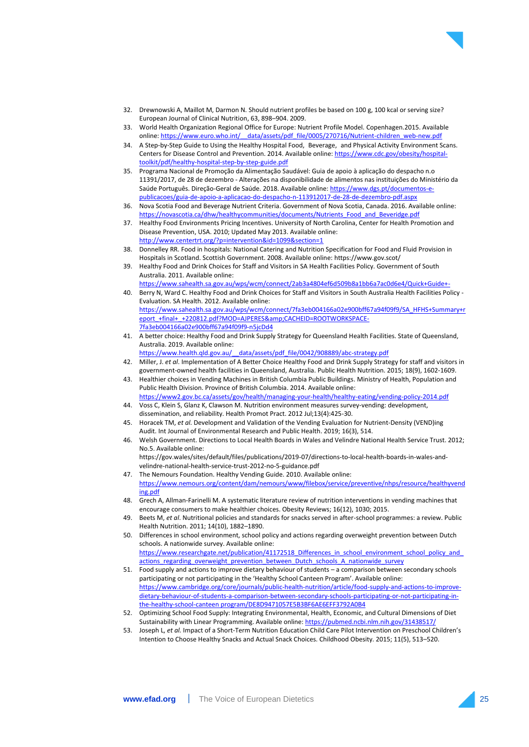

- 32. Drewnowski A, Maillot M, Darmon N. Should nutrient profiles be based on 100 g, 100 kcal or serving size? European Journal of Clinical Nutrition, 63, 898–904. 2009.
- 33. World Health Organization Regional Office for Europe: Nutrient Profile Model. Copenhagen.2015. Available online: https://www.euro.who.int/ data/assets/pdf\_file/0005/270716/Nutrient-children\_web-new.pdf
- 34. A Step-by-Step Guide to Using the Healthy Hospital Food, Beverage, and Physical Activity Environment Scans. Centers for Disease Control and Prevention. 2014. Available online: [https://www.cdc.gov/obesity/hospital](https://www.cdc.gov/obesity/hospital-toolkit/pdf/healthy-hospital-step-by-step-guide.pdf)[toolkit/pdf/healthy-hospital-step-by-step-guide.pdf](https://www.cdc.gov/obesity/hospital-toolkit/pdf/healthy-hospital-step-by-step-guide.pdf)
- 35. Programa Nacional de Promoção da Alimentação Saudável: Guia de apoio à aplicação do despacho n.o 11391/2017, de 28 de dezembro - Alterações na disponibilidade de alimentos nas instituições do Ministério da Saúde Português. Direção-Geral de Saúde. 2018. Available online: [https://www.dgs.pt/documentos-e](https://www.dgs.pt/documentos-e-publicacoes/guia-de-apoio-a-aplicacao-do-despacho-n-113912017-de-28-de-dezembro-pdf.aspx)[publicacoes/guia-de-apoio-a-aplicacao-do-despacho-n-113912017-de-28-de-dezembro-pdf.aspx](https://www.dgs.pt/documentos-e-publicacoes/guia-de-apoio-a-aplicacao-do-despacho-n-113912017-de-28-de-dezembro-pdf.aspx)
- 36. Nova Scotia Food and Beverage Nutrient Criteria. Government of Nova Scotia, Canada. 2016. Available online: [https://novascotia.ca/dhw/healthycommunities/documents/Nutrients\\_Food\\_and\\_Beveridge.pdf](https://novascotia.ca/dhw/healthy-communities/documents/Nutrients_Food_and_Beveridge.pdf)
- 37. Healthy Food Environments Pricing Incentives. University of North Carolina, Center for Health Promotion and Disease Prevention, USA. 2010; Updated May 2013. Available online: http://www.centertrt.org/?p=intervention&id=1099&section=1
- 38. Donnelley RR. Food in hospitals: National Catering and Nutrition Specification for Food and Fluid Provision in Hospitals in Scotland. Scottish Government. 2008. Available online: https://www.gov.scot/
- 39. Healthy Food and Drink Choices for Staff and Visitors in SA Health Facilities Policy. Government of South Australia. 2011. Available online:
- [https://www.sahealth.sa.gov.au/wps/wcm/connect/2ab3a4804ef6d509b8a1bb6a7ac0d6e4/Quick+Guide+-](https://www.sahealth.sa.gov.au/wps/wcm/connect/2ab3a4804ef6d509b8a1bb6a7ac0d6e4/Quick+Guide+-+Healthy+Food+and+Drink+Choices+for+Staff.pdf?MOD=AJPERES&CACHEID=ROOTWORKSPACE-2ab3a4804ef6d509b8a1bb6a7ac0d6e4-mMFEqkp) 40. Berry N, Ward C. Healthy Food and Drink Choices for Staff and Visitors in South Australia Health Facilities Policy - Evaluation. SA Health. 2012. Available online: [https://www.sahealth.sa.gov.au/wps/wcm/connect/7fa3eb004166a02e900bff67a94f09f9/SA\\_HFHS+Summary+r](https://www.sahealth.sa.gov.au/wps/wcm/connect/7fa3eb004166a02e900bff67a94f09f9/SA_HFHS+Summary+report_+final+_+220812.pdf?MOD=AJPERES&CACHEID=ROOTWORKSPACE-7fa3eb004166a02e900bff67a94f09f9-n5jcDd4) [eport\\_+final+\\_+220812.pdf?MOD=AJPERES&CACHEID=ROOTWORKSPACE-](https://www.sahealth.sa.gov.au/wps/wcm/connect/7fa3eb004166a02e900bff67a94f09f9/SA_HFHS+Summary+report_+final+_+220812.pdf?MOD=AJPERES&CACHEID=ROOTWORKSPACE-7fa3eb004166a02e900bff67a94f09f9-n5jcDd4)
- [7fa3eb004166a02e900bff67a94f09f9-n5jcDd4](https://www.sahealth.sa.gov.au/wps/wcm/connect/7fa3eb004166a02e900bff67a94f09f9/SA_HFHS+Summary+report_+final+_+220812.pdf?MOD=AJPERES&CACHEID=ROOTWORKSPACE-7fa3eb004166a02e900bff67a94f09f9-n5jcDd4) 41. A better choice: Healthy Food and Drink Supply Strategy for Queensland Health Facilities. State of Queensland, Australia. 2019. Available online:
- https://www.health.qld.gov.au/ data/assets/pdf file/0042/908889/abc-strategy.pdf 42. Miller, J. *et al*. Implementation of A Better Choice Healthy Food and Drink Supply Strategy for staff and visitors in government-owned health facilities in Queensland, Australia. Public Health Nutrition. 2015; 18(9), 1602-1609.
- 43. Healthier choices in Vending Machines in British Columbia Public Buildings. Ministry of Health, Population and Public Health Division. Province of British Columbia. 2014. Available online: <https://www2.gov.bc.ca/assets/gov/health/managing-your-health/healthy-eating/vending-policy-2014.pdf>
- 44. Voss C, Klein S, Glanz K, Clawson M. Nutrition environment measures survey-vending: development, dissemination, and reliability. Health Promot Pract. 2012 Jul;13(4):425-30.
- 45. Horacek TM, *et al*. Development and Validation of the Vending Evaluation for Nutrient-Density (VEND)ing Audit. Int Journal of Environmental Research and Public Health. 2019; 16(3), 514.
- 46. Welsh Government. Directions to Local Health Boards in Wales and Velindre National Health Service Trust. 2012; No.5. Available online: [https://gov.wales/sites/default/files/publications/2019-07/directions-to-local-health-boards-in-wales-and](https://gov.wales/sites/default/files/publications/2019-07/directions-to-local-health-boards-in-wales-and-velindre-national-health-service-trust-2012-no-5-guidance.pdf)[velindre-national-health-service-trust-2012-no-5-guidance.pdf](https://gov.wales/sites/default/files/publications/2019-07/directions-to-local-health-boards-in-wales-and-velindre-national-health-service-trust-2012-no-5-guidance.pdf)
- 47. The Nemours Foundation. Healthy Vending Guide. 2010. Available online: [https://www.nemours.org/content/dam/nemours/www/filebox/service/preventive/nhps/resource/healthyvend](https://www.nemours.org/content/dam/nemours/www/filebox/service/preventive/nhps/resource/healthyvending.pdf) [ing.pdf](https://www.nemours.org/content/dam/nemours/www/filebox/service/preventive/nhps/resource/healthyvending.pdf)
- 48. Grech A, Allman-Farinelli M. A systematic literature review of nutrition interventions in vending machines that encourage consumers to make healthier choices. Obesity Reviews; 16(12), 1030; 2015.
- 49. Beets M, *et al*. Nutritional policies and standards for snacks served in after-school programmes: a review. Public Health Nutrition. 2011; 14(10), 1882–1890.
- 50. Differences in school environment, school policy and actions regarding overweight prevention between Dutch schools. A nationwide survey. Available online: https://www.researchgate.net/publication/41172518\_Differences\_in\_school\_environment\_school\_policy\_and actions\_regarding\_overweight\_prevention\_between\_Dutch\_schools\_A\_nationwide\_survey
- 51. Food supply and actions to improve dietary behaviour of students a comparison between secondary schools participating or not participating in the 'Healthy School Canteen Program'. Available online: [https://www.cambridge.org/core/journals/public-health-nutrition/article/food-supply-and-actions-to-improve](https://www.cambridge.org/core/journals/public-health-nutrition/article/food-supply-and-actions-to-improve-dietary-behaviour-of-students-a-comparison-between-secondary-schools-participating-or-not-participating-in-the-healthy-school-canteen)[dietary-behaviour-of-students-a-comparison-between-secondary-schools-participating-or-not-participating-in](https://www.cambridge.org/core/journals/public-health-nutrition/article/food-supply-and-actions-to-improve-dietary-behaviour-of-students-a-comparison-between-secondary-schools-participating-or-not-participating-in-the-healthy-school-canteen)[the-healthy-school-canteen](https://www.cambridge.org/core/journals/public-health-nutrition/article/food-supply-and-actions-to-improve-dietary-behaviour-of-students-a-comparison-between-secondary-schools-participating-or-not-participating-in-the-healthy-school-canteen) program/DE8D9471057E5B3BF6AE6EFF3792A0B4
- 52. Optimizing School Food Supply: Integrating Environmental, Health, Economic, and Cultural Dimensions of Diet Sustainability with Linear Programming. Available online[: https://pubmed.ncbi.nlm.nih.gov/31438517/](https://pubmed.ncbi.nlm.nih.gov/31438517/)
- 53. Joseph L, *et al.* Impact of a Short-Term Nutrition Education Child Care Pilot Intervention on Preschool Children's Intention to Choose Healthy Snacks and Actual Snack Choices. Childhood Obesity. 2015; 11(5), 513–520.